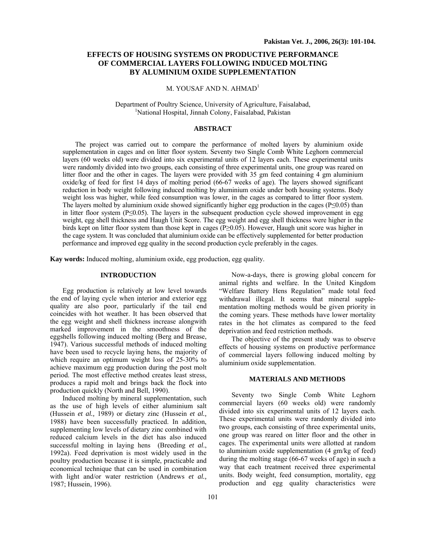# **EFFECTS OF HOUSING SYSTEMS ON PRODUCTIVE PERFORMANCE OF COMMERCIAL LAYERS FOLLOWING INDUCED MOLTING BY ALUMINIUM OXIDE SUPPLEMENTATION**

# M. YOUSAF AND N. AHMAD<sup>1</sup>

Department of Poultry Science, University of Agriculture, Faisalabad, 1 <sup>1</sup>National Hospital, Jinnah Colony, Faisalabad, Pakistan

#### **ABSTRACT**

The project was carried out to compare the performance of molted layers by aluminium oxide supplementation in cages and on litter floor system. Seventy two Single Comb White Leghorn commercial layers (60 weeks old) were divided into six experimental units of 12 layers each. These experimental units were randomly divided into two groups, each consisting of three experimental units, one group was reared on litter floor and the other in cages. The layers were provided with 35 gm feed containing 4 gm aluminium oxide/kg of feed for first 14 days of molting period (66-67 weeks of age). The layers showed significant reduction in body weight following induced molting by aluminium oxide under both housing systems. Body weight loss was higher, while feed consumption was lower, in the cages as compared to litter floor system. The layers molted by aluminium oxide showed significantly higher egg production in the cages ( $P \le 0.05$ ) than in litter floor system (P≤0.05). The layers in the subsequent production cycle showed improvement in egg weight, egg shell thickness and Haugh Unit Score. The egg weight and egg shell thickness were higher in the birds kept on litter floor system than those kept in cages (P≥0.05). However, Haugh unit score was higher in the cage system. It was concluded that aluminium oxide can be effectively supplemented for better production performance and improved egg quality in the second production cycle preferably in the cages.

**Kay words:** Induced molting, aluminium oxide, egg production, egg quality.

## **INTRODUCTION**

Egg production is relatively at low level towards the end of laying cycle when interior and exterior egg quality are also poor, particularly if the tail end coincides with hot weather. It has been observed that the egg weight and shell thickness increase alongwith marked improvement in the smoothness of the eggshells following induced molting (Berg and Brease, 1947). Various successful methods of induced molting have been used to recycle laying hens, the majority of which require an optimum weight loss of 25-30% to achieve maximum egg production during the post molt period. The most effective method creates least stress, produces a rapid molt and brings back the flock into production quickly (North and Bell, 1990).

Induced molting by mineral supplementation, such as the use of high levels of either aluminium salt (Hussein *et al.,* 1989) or dietary zinc (Hussein *et al.,* 1988) have been successfully practiced. In addition, supplementing low levels of dietary zinc combined with reduced calcium levels in the diet has also induced successful molting in laying hens (Breeding *et al*., 1992a). Feed deprivation is most widely used in the poultry production because it is simple, practicable and economical technique that can be used in combination with light and/or water restriction (Andrews *et al.,* 1987; Hussein, 1996).

animal rights and welfare. In the United Kingdom "Welfare Battery Hens Regulation" made total feed withdrawal illegal. It seems that mineral supplementation molting methods would be given priority in the coming years. These methods have lower mortality rates in the hot climates as compared to the feed deprivation and feed restriction methods. The objective of the present study was to observe

Now-a-days, there is growing global concern for

effects of housing systems on productive performance of commercial layers following induced molting by aluminium oxide supplementation.

# **MATERIALS AND METHODS**

Seventy two Single Comb White Leghorn commercial layers (60 weeks old) were randomly divided into six experimental units of 12 layers each. These experimental units were randomly divided into two groups, each consisting of three experimental units, one group was reared on litter floor and the other in cages. The experimental units were allotted at random to aluminium oxide supplementation (4 gm/kg of feed) during the molting stage (66-67 weeks of age) in such a way that each treatment received three experimental units. Body weight, feed consumption, mortality, egg production and egg quality characteristics were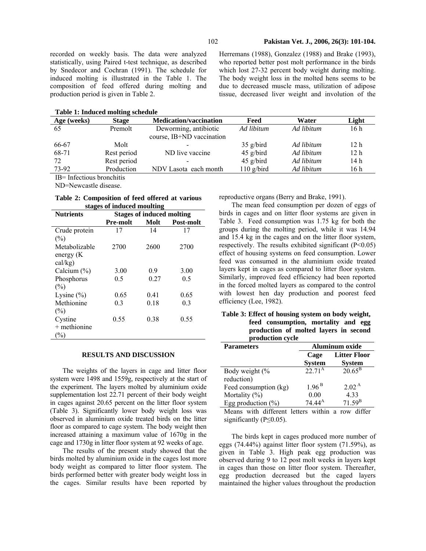recorded on weekly basis. The data were analyzed statistically, using Paired t-test technique, as described by Snedecor and Cochran (1991). The schedule for induced molting is illustrated in the Table 1. The composition of feed offered during molting and production period is given in Table 2.

**Table 1: Induced molting schedule** 

Herremans (1988), Gonzalez (1988) and Brake (1993), who reported better post molt performance in the birds which lost 27-32 percent body weight during molting. The body weight loss in the molted hens seems to be due to decreased muscle mass, utilization of adipose tissue, decreased liver weight and involution of the

| Table 1. Induced monthly schedule |              |                               |              |            |                 |
|-----------------------------------|--------------|-------------------------------|--------------|------------|-----------------|
| Age (weeks)                       | <b>Stage</b> | <b>Medication/vaccination</b> | Feed         | Water      | Light           |
| 65                                | Premolt      | Deworming, antibiotic         | Ad libitum   | Ad libitum | 16 h            |
|                                   |              | course, IB+ND vaccination     |              |            |                 |
| 66-67                             | Molt         |                               | $35$ g/bird  | Ad libitum | 12h             |
| 68-71                             | Rest period  | ND live vaccine               | $45$ g/bird  | Ad libitum | 12 <sub>h</sub> |
| 72                                | Rest period  |                               | $45$ g/bird  | Ad libitum | 14 h            |
| 73-92                             | Production   | NDV Lasota each month         | $110$ g/bird | Ad libitum | 16 h            |

IB= Infectious bronchitis

ND=Newcastle disease.

### **Table 2: Composition of feed offered at various stages of induced moulting**

| <b>Nutrients</b>                       | <b>Stages of induced molting</b> |      |                  |  |
|----------------------------------------|----------------------------------|------|------------------|--|
|                                        | <b>Pre-molt</b>                  | Molt | <b>Post-molt</b> |  |
| Crude protein<br>(%)                   | 17                               | 14   | 17               |  |
| Metabolizable<br>energy (K)<br>cal/kg) | 2700                             | 2600 | 2700             |  |
| Calcium $(\% )$                        | 3.00                             | 0.9  | 3.00             |  |
| Phosphorus                             | 0.5                              | 0.27 | 0.5              |  |
| (%)                                    |                                  |      |                  |  |
| Lysine $(\% )$                         | 0.65                             | 0.41 | 0.65             |  |
| Methionine<br>(%)                      | 0.3                              | 0.18 | 0.3              |  |
| Cystine<br>$+$ methionine<br>(%)       | 0.55                             | 0.38 | 0.55             |  |

### **RESULTS AND DISCUSSION**

The weights of the layers in cage and litter floor system were 1498 and 1559g, respectively at the start of the experiment. The layers molted by aluminium oxide supplementation lost 22.71 percent of their body weight in cages against 20.65 percent on the litter floor system (Table 3). Significantly lower body weight loss was observed in aluminium oxide treated birds on the litter floor as compared to cage system. The body weight then increased attaining a maximum value of 1670g in the cage and 1730g in litter floor system at 92 weeks of age.

The results of the present study showed that the birds molted by aluminium oxide in the cages lost more body weight as compared to litter floor system. The birds performed better with greater body weight loss in the cages. Similar results have been reported by

reproductive organs (Berry and Brake, 1991).

The mean feed consumption per dozen of eggs of birds in cages and on litter floor systems are given in Table 3. Feed consumption was 1.75 kg for both the groups during the molting period, while it was 14.94 and 15.4 kg in the cages and on the litter floor system, respectively. The results exhibited significant (P<0.05) effect of housing systems on feed consumption. Lower feed was consumed in the aluminium oxide treated layers kept in cages as compared to litter floor system. Similarly, improved feed efficiency had been reported in the forced molted layers as compared to the control with lowest hen day production and poorest feed efficiency (Lee, 1982).

|      |      |      | Table 3: Effect of housing system on body weight, |  |  |
|------|------|------|---------------------------------------------------|--|--|
| 0.55 | 0.38 | 0.55 | feed consumption, mortality and egg               |  |  |
|      |      |      | production of molted layers in second             |  |  |
|      |      |      | production cycle                                  |  |  |

| <b>Parameters</b>                   | <b>Aluminum</b> oxide |                     |  |
|-------------------------------------|-----------------------|---------------------|--|
|                                     | Cage                  | <b>Litter Floor</b> |  |
|                                     | <b>System</b>         | <b>System</b>       |  |
| Body weight (%                      | $22.71^{\rm A}$       | $20.65^{\rm B}$     |  |
| reduction)                          |                       |                     |  |
| Feed consumption (kg)               | $1.96^{\,\rm B}$      | 2.02 <sup>A</sup>   |  |
| Mortality $(\% )$                   | 0.00                  | 4.33                |  |
| Egg production $(\% )$              | $74.44^{\rm A}$       | $71.59^{B}$         |  |
| Means with different letters within |                       | row<br>a            |  |

significantly ( $P \le 0.05$ ).

The birds kept in cages produced more number of eggs (74.44%) against litter floor system (71.59%), as given in Table 3. High peak egg production was observed during 9 to 12 post molt weeks in layers kept in cages than those on litter floor system. Thereafter, egg production decreased but the caged layers maintained the higher values throughout the production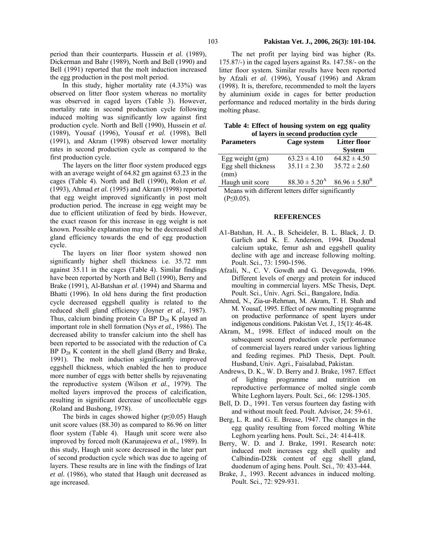period than their counterparts. Hussein *et al.* (1989), Dickerman and Bahr (1989), North and Bell (1990) and Bell (1991) reported that the molt induction increased the egg production in the post molt period.

In this study, higher mortality rate (4.33%) was observed on litter floor system whereas no mortality was observed in caged layers (Table 3). However, mortality rate in second production cycle following induced molting was significantly low against first production cycle. North and Bell (1990), Hussein *et al.*  (1989), Yousaf (1996), Yousaf *et al.* (1998), Bell (1991), and Akram (1998) observed lower mortality rates in second production cycle as compared to the first production cycle.

The layers on the litter floor system produced eggs with an average weight of 64.82 gm against 63.23 in the cages (Table 4). North and Bell (1990), Rolon *et al*. (1993), Ahmad *et al.* (1995) and Akram (1998) reported that egg weight improved significantly in post molt production period. The increase in egg weight may be due to efficient utilization of feed by birds. However, the exact reason for this increase in egg weight is not known. Possible explanation may be the decreased shell gland efficiency towards the end of egg production cycle.

The layers on liter floor system showed non significantly higher shell thickness i.e. 35.72 mm against 35.11 in the cages (Table 4). Similar findings have been reported by North and Bell (1990), Berry and Brake (1991), Al-Batshan *et al*. (1994) and Sharma and Bhatti (1996). In old hens during the first production cycle decreased eggshell quality is related to the reduced shell gland efficiency (Joyner *et al.,* 1987). Thus, calcium binding protein Ca BP  $D_{28}$  K played an important role in shell formation (Nys *et al.,* 1986). The decreased ability to transfer calcium into the shell has been reported to be associated with the reduction of Ca BP  $D_{28}$  K content in the shell gland (Berry and Brake, 1991). The molt induction significantly improved eggshell thickness, which enabled the hen to produce more number of eggs with better shells by rejuvenating the reproductive system (Wilson *et al.,* 1979). The molted layers improved the process of calcification, resulting in significant decrease of uncollectable eggs (Roland and Bushong, 1978).

The birds in cages showed higher ( $p \le 0.05$ ) Haugh unit score values (88.30) as compared to 86.96 on litter floor system (Table 4).Haugh unit score were also improved by forced molt (Karunajeewa *et al.,* 1989). In this study, Haugh unit score decreased in the later part of second production cycle which was due to ageing of layers. These results are in line with the findings of Izat *et al.* (1986), who stated that Haugh unit decreased as age increased.

### 103 **Pakistan Vet. J., 2006, 26(3): 101-104.**

The net profit per laying bird was higher (Rs. 175.87/-) in the caged layers against Rs. 147.58/- on the litter floor system. Similar results have been reported by Afzali *et al*. (1996), Yousaf (1996) and Akram (1998). It is, therefore, recommended to molt the layers by aluminium oxide in cages for better production performance and reduced mortality in the birds during molting phase.

| Table 4: Effect of housing system on egg quality |
|--------------------------------------------------|
| of layers in second production cycle             |

| $\frac{1}{2}$ in become protection $\frac{1}{2}$  |                          |                          |  |  |
|---------------------------------------------------|--------------------------|--------------------------|--|--|
| <b>Parameters</b>                                 | Cage system              | <b>Litter floor</b>      |  |  |
|                                                   |                          | <b>System</b>            |  |  |
| Egg weight $(gm)$                                 | $63.23 \pm 4.10$         | $64.82 \pm 4.50$         |  |  |
| Egg shell thickness                               | $35.11 \pm 2.30$         | $35.72 \pm 2.60$         |  |  |
| (mm)                                              |                          |                          |  |  |
| Haugh unit score                                  | $88.30 \pm 5.20^{\rm A}$ | $86.96 \pm 5.80^{\rm B}$ |  |  |
| Means with different letters differ significantly |                          |                          |  |  |

Means with different letters differ significantly (P≤0.05).

### **REFERENCES**

- A1-Batshan, H. A., B. Scheideler, B. L. Black, J. D. Garlich and K. E. Anderson, 1994. Duodenal calcium uptake, femur ash and eggshell quality decline with age and increase following molting. Poult. Sci., 73: 1590-1596.
- Afzali, N., C. V. Gowdh and G. Devegowda, 1996. Different levels of energy and protein for induced moulting in commercial layers. MSc Thesis, Dept. Poult. Sci., Univ. Agri. Sci., Bangalore, India.
- Ahmed, N., Zia-ur-Rehrnan, M. Akram, T. H. Shah and M. Yousaf, 1995. Effect of new moulting programme on productive performance of spent layers under indigenous conditions. Pakistan Vet. J., 15(1): 46-48.
- Akram, M., 1998. Effect of induced moult on the subsequent second production cycle performance of commercial layers reared under various lighting and feeding regimes. PhD Thesis, Dept. Poult. Husband, Univ. Agri., Faisalabad, Pakistan.
- Andrews, D. K., W. D. Berry and J. Brake, 1987. Effect of lighting programme and nutrition on reproductive performance of molted single comb White Leghorn layers. Poult. Sci., 66: 1298-1305.
- Bell, D. D., 1991. Ten versus fourteen day fasting with and without moult feed. Poult. Advisor, 24: 59-61.
- Berg, L. R. and G. E. Brease, 1947. The changes in the egg quality resulting from forced molting White Leghorn yearling hens. Poult. Sci., 24: 414-418.
- Berry, W. D. and J. Brake, 1991. Research note: induced molt increases egg shell quality and Calbindin-D28k content of egg shell gland, duodenum of aging hens. Poult. Sci., 70: 433-444.
- Brake, J., 1993. Recent advances in induced molting. Poult. Sci., 72: 929-931.